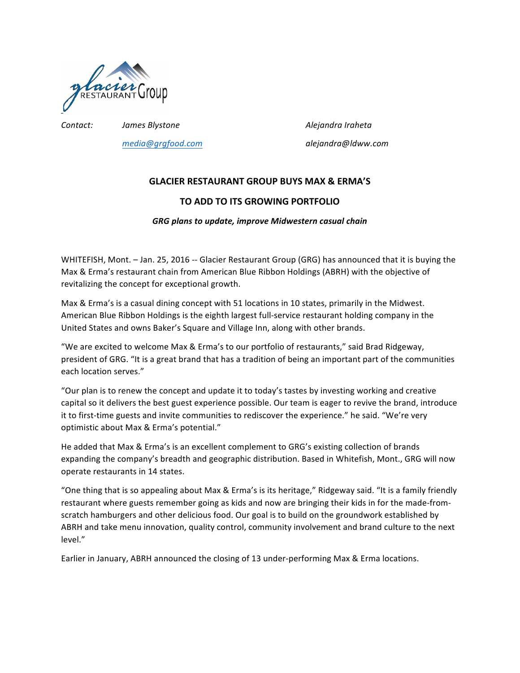

*media@grgfood.com alejandra@ldww.com*

*Contact: James Blystone Alejandra Iraheta*

# **GLACIER RESTAURANT GROUP BUYS MAX & ERMA'S**

## **TO ADD TO ITS GROWING PORTFOLIO**

### *GRG plans to update, improve Midwestern casual chain*

WHITEFISH, Mont. - Jan. 25, 2016 -- Glacier Restaurant Group (GRG) has announced that it is buying the Max & Erma's restaurant chain from American Blue Ribbon Holdings (ABRH) with the objective of revitalizing the concept for exceptional growth.

Max & Erma's is a casual dining concept with 51 locations in 10 states, primarily in the Midwest. American Blue Ribbon Holdings is the eighth largest full-service restaurant holding company in the United States and owns Baker's Square and Village Inn, along with other brands.

"We are excited to welcome Max & Erma's to our portfolio of restaurants," said Brad Ridgeway, president of GRG. "It is a great brand that has a tradition of being an important part of the communities each location serves."

"Our plan is to renew the concept and update it to today's tastes by investing working and creative capital so it delivers the best guest experience possible. Our team is eager to revive the brand, introduce it to first-time guests and invite communities to rediscover the experience." he said. "We're very optimistic about Max & Erma's potential."

He added that Max & Erma's is an excellent complement to GRG's existing collection of brands expanding the company's breadth and geographic distribution. Based in Whitefish, Mont., GRG will now operate restaurants in 14 states.

"One thing that is so appealing about Max & Erma's is its heritage," Ridgeway said. "It is a family friendly restaurant where guests remember going as kids and now are bringing their kids in for the made-fromscratch hamburgers and other delicious food. Our goal is to build on the groundwork established by ABRH and take menu innovation, quality control, community involvement and brand culture to the next level."

Earlier in January, ABRH announced the closing of 13 under-performing Max & Erma locations.